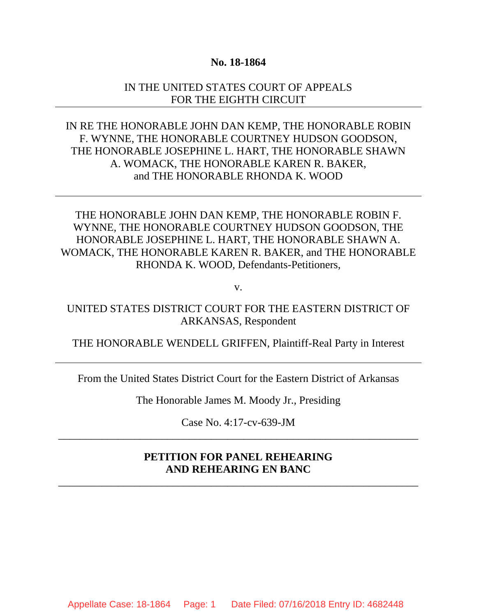### **No. 18-1864**

### IN THE UNITED STATES COURT OF APPEALS FOR THE EIGHTH CIRCUIT

IN RE THE HONORABLE JOHN DAN KEMP, THE HONORABLE ROBIN F. WYNNE, THE HONORABLE COURTNEY HUDSON GOODSON, THE HONORABLE JOSEPHINE L. HART, THE HONORABLE SHAWN A. WOMACK, THE HONORABLE KAREN R. BAKER, and THE HONORABLE RHONDA K. WOOD

THE HONORABLE JOHN DAN KEMP, THE HONORABLE ROBIN F. WYNNE, THE HONORABLE COURTNEY HUDSON GOODSON, THE HONORABLE JOSEPHINE L. HART, THE HONORABLE SHAWN A. WOMACK, THE HONORABLE KAREN R. BAKER, and THE HONORABLE RHONDA K. WOOD, Defendants-Petitioners,

v.

UNITED STATES DISTRICT COURT FOR THE EASTERN DISTRICT OF ARKANSAS, Respondent

THE HONORABLE WENDELL GRIFFEN, Plaintiff-Real Party in Interest

From the United States District Court for the Eastern District of Arkansas

The Honorable James M. Moody Jr., Presiding

Case No. 4:17-cv-639-JM  $\overline{\phantom{a}}$  , and the contribution of the contribution of the contribution of the contribution of the contribution of  $\overline{\phantom{a}}$ 

## **PETITION FOR PANEL REHEARING AND REHEARING EN BANC**

 $\overline{\phantom{a}}$  , and the contribution of the contribution of the contribution of the contribution of the contribution of  $\overline{\phantom{a}}$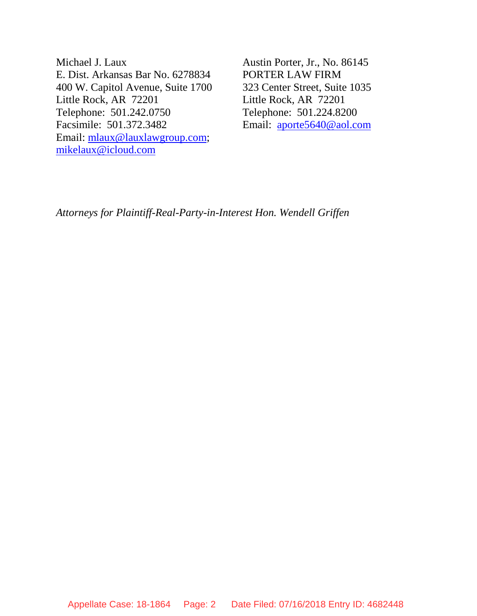Michael J. Laux E. Dist. Arkansas Bar No. 6278834 400 W. Capitol Avenue, Suite 1700 Little Rock, AR 72201 Telephone: 501.242.0750 Facsimile: 501.372.3482 Email: mlaux@lauxlawgroup.com; mikelaux@icloud.com

Austin Porter, Jr., No. 86145 PORTER LAW FIRM 323 Center Street, Suite 1035 Little Rock, AR 72201 Telephone: 501.224.8200 Email: aporte5640@aol.com

*Attorneys for Plaintiff-Real-Party-in-Interest Hon. Wendell Griffen*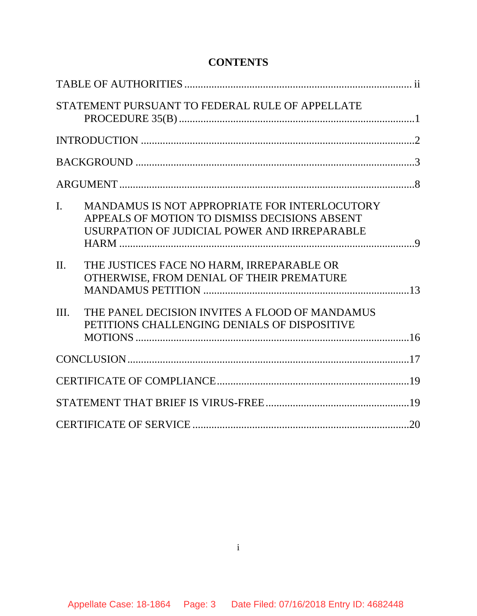# **CONTENTS**

|                  | STATEMENT PURSUANT TO FEDERAL RULE OF APPELLATE                                                                                                |  |
|------------------|------------------------------------------------------------------------------------------------------------------------------------------------|--|
|                  |                                                                                                                                                |  |
|                  |                                                                                                                                                |  |
|                  |                                                                                                                                                |  |
| $\overline{I}$ . | MANDAMUS IS NOT APPROPRIATE FOR INTERLOCUTORY<br>APPEALS OF MOTION TO DISMISS DECISIONS ABSENT<br>USURPATION OF JUDICIAL POWER AND IRREPARABLE |  |
| $\Pi$ .          | THE JUSTICES FACE NO HARM, IRREPARABLE OR<br>OTHERWISE, FROM DENIAL OF THEIR PREMATURE                                                         |  |
| III.             | THE PANEL DECISION INVITES A FLOOD OF MANDAMUS<br>PETITIONS CHALLENGING DENIALS OF DISPOSITIVE                                                 |  |
|                  |                                                                                                                                                |  |
|                  |                                                                                                                                                |  |
|                  |                                                                                                                                                |  |
|                  |                                                                                                                                                |  |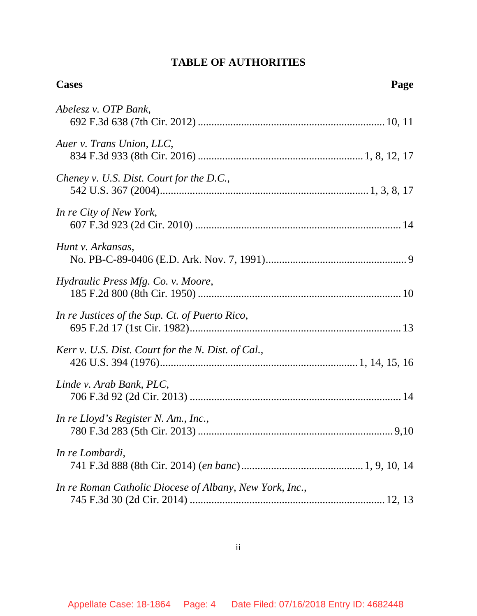# **TABLE OF AUTHORITIES**

| <b>Cases</b><br>Page                                    |
|---------------------------------------------------------|
| Abelesz v. OTP Bank,                                    |
| Auer v. Trans Union, LLC,                               |
| Cheney v. U.S. Dist. Court for the D.C.,                |
| In re City of New York,                                 |
| Hunt v. Arkansas,                                       |
| Hydraulic Press Mfg. Co. v. Moore,                      |
| In re Justices of the Sup. Ct. of Puerto Rico,          |
| Kerr v. U.S. Dist. Court for the N. Dist. of Cal.,      |
| Linde v. Arab Bank, PLC,                                |
| In re Lloyd's Register N. Am., Inc.,                    |
| In re Lombardi,                                         |
| In re Roman Catholic Diocese of Albany, New York, Inc., |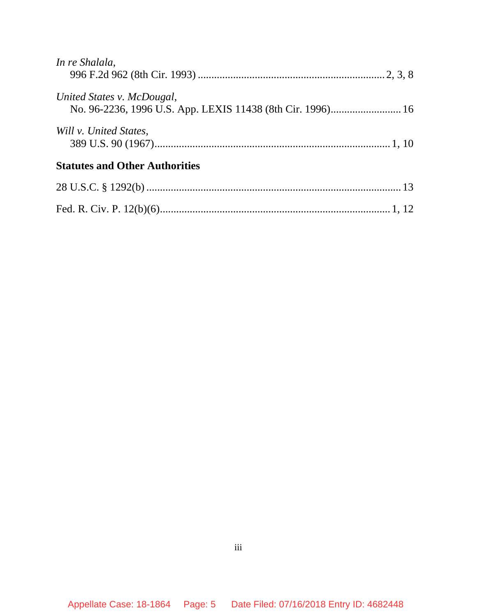| In re Shalala,                        |  |
|---------------------------------------|--|
| United States v. McDougal,            |  |
| Will v. United States.                |  |
| <b>Statutes and Other Authorities</b> |  |
|                                       |  |
|                                       |  |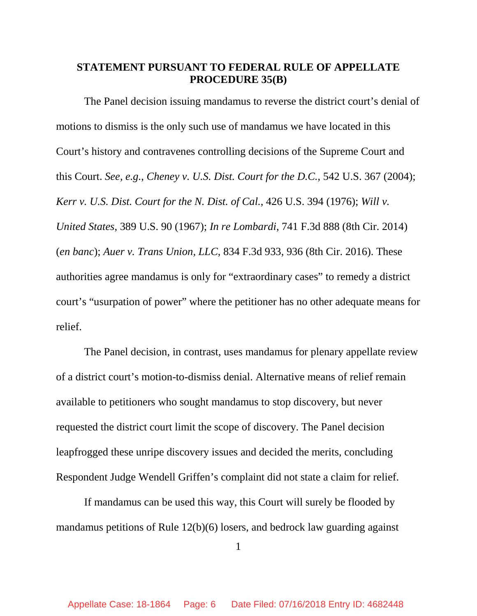## **STATEMENT PURSUANT TO FEDERAL RULE OF APPELLATE PROCEDURE 35(B)**

The Panel decision issuing mandamus to reverse the district court's denial of motions to dismiss is the only such use of mandamus we have located in this Court's history and contravenes controlling decisions of the Supreme Court and this Court. *See, e.g.*, *Cheney v. U.S. Dist. Court for the D.C.*, 542 U.S. 367 (2004); *Kerr v. U.S. Dist. Court for the N. Dist. of Cal.*, 426 U.S. 394 (1976); *Will v. United States*, 389 U.S. 90 (1967); *In re Lombardi*, 741 F.3d 888 (8th Cir. 2014) (*en banc*); *Auer v. Trans Union, LLC*, 834 F.3d 933, 936 (8th Cir. 2016). These authorities agree mandamus is only for "extraordinary cases" to remedy a district court's "usurpation of power" where the petitioner has no other adequate means for relief.

The Panel decision, in contrast, uses mandamus for plenary appellate review of a district court's motion-to-dismiss denial. Alternative means of relief remain available to petitioners who sought mandamus to stop discovery, but never requested the district court limit the scope of discovery. The Panel decision leapfrogged these unripe discovery issues and decided the merits, concluding Respondent Judge Wendell Griffen's complaint did not state a claim for relief.

If mandamus can be used this way, this Court will surely be flooded by mandamus petitions of Rule 12(b)(6) losers, and bedrock law guarding against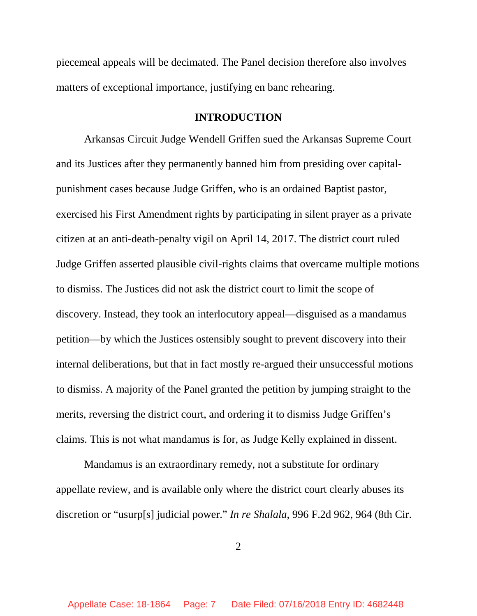piecemeal appeals will be decimated. The Panel decision therefore also involves matters of exceptional importance, justifying en banc rehearing.

## **INTRODUCTION**

Arkansas Circuit Judge Wendell Griffen sued the Arkansas Supreme Court and its Justices after they permanently banned him from presiding over capitalpunishment cases because Judge Griffen, who is an ordained Baptist pastor, exercised his First Amendment rights by participating in silent prayer as a private citizen at an anti-death-penalty vigil on April 14, 2017. The district court ruled Judge Griffen asserted plausible civil-rights claims that overcame multiple motions to dismiss. The Justices did not ask the district court to limit the scope of discovery. Instead, they took an interlocutory appeal—disguised as a mandamus petition—by which the Justices ostensibly sought to prevent discovery into their internal deliberations, but that in fact mostly re-argued their unsuccessful motions to dismiss. A majority of the Panel granted the petition by jumping straight to the merits, reversing the district court, and ordering it to dismiss Judge Griffen's claims. This is not what mandamus is for, as Judge Kelly explained in dissent.

Mandamus is an extraordinary remedy, not a substitute for ordinary appellate review, and is available only where the district court clearly abuses its discretion or "usurp[s] judicial power." *In re Shalala*, 996 F.2d 962, 964 (8th Cir.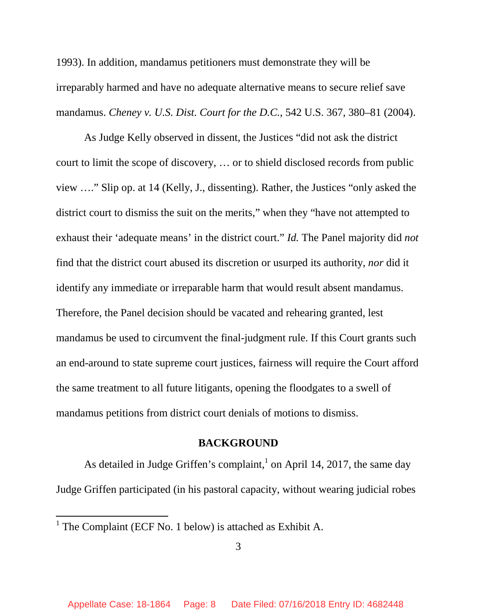1993). In addition, mandamus petitioners must demonstrate they will be irreparably harmed and have no adequate alternative means to secure relief save mandamus. *Cheney v. U.S. Dist. Court for the D.C.*, 542 U.S. 367, 380–81 (2004).

As Judge Kelly observed in dissent, the Justices "did not ask the district court to limit the scope of discovery, … or to shield disclosed records from public view …." Slip op. at 14 (Kelly, J., dissenting). Rather, the Justices "only asked the district court to dismiss the suit on the merits," when they "have not attempted to exhaust their 'adequate means' in the district court." *Id.* The Panel majority did *not* find that the district court abused its discretion or usurped its authority, *nor* did it identify any immediate or irreparable harm that would result absent mandamus. Therefore, the Panel decision should be vacated and rehearing granted, lest mandamus be used to circumvent the final-judgment rule. If this Court grants such an end-around to state supreme court justices, fairness will require the Court afford the same treatment to all future litigants, opening the floodgates to a swell of mandamus petitions from district court denials of motions to dismiss.

### **BACKGROUND**

As detailed in Judge Griffen's complaint,<sup>1</sup> on April 14, 2017, the same day Judge Griffen participated (in his pastoral capacity, without wearing judicial robes

<sup>&</sup>lt;sup>1</sup> The Complaint (ECF No. 1 below) is attached as Exhibit A.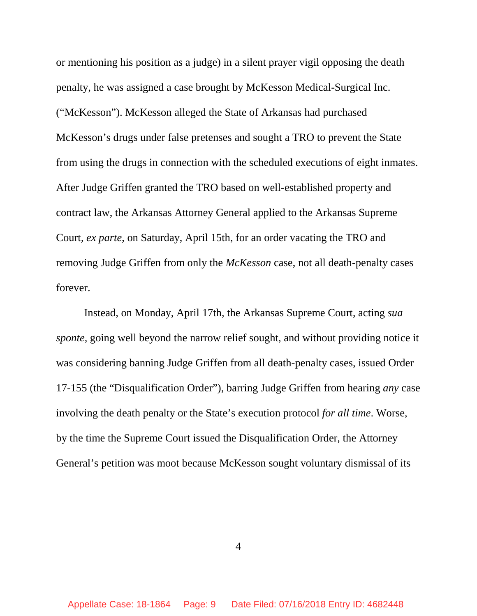or mentioning his position as a judge) in a silent prayer vigil opposing the death penalty, he was assigned a case brought by McKesson Medical-Surgical Inc. ("McKesson"). McKesson alleged the State of Arkansas had purchased McKesson's drugs under false pretenses and sought a TRO to prevent the State from using the drugs in connection with the scheduled executions of eight inmates. After Judge Griffen granted the TRO based on well-established property and contract law, the Arkansas Attorney General applied to the Arkansas Supreme Court, *ex parte*, on Saturday, April 15th, for an order vacating the TRO and removing Judge Griffen from only the *McKesson* case, not all death-penalty cases forever.

Instead, on Monday, April 17th, the Arkansas Supreme Court, acting *sua sponte*, going well beyond the narrow relief sought, and without providing notice it was considering banning Judge Griffen from all death-penalty cases, issued Order 17-155 (the "Disqualification Order"), barring Judge Griffen from hearing *any* case involving the death penalty or the State's execution protocol *for all time*. Worse, by the time the Supreme Court issued the Disqualification Order, the Attorney General's petition was moot because McKesson sought voluntary dismissal of its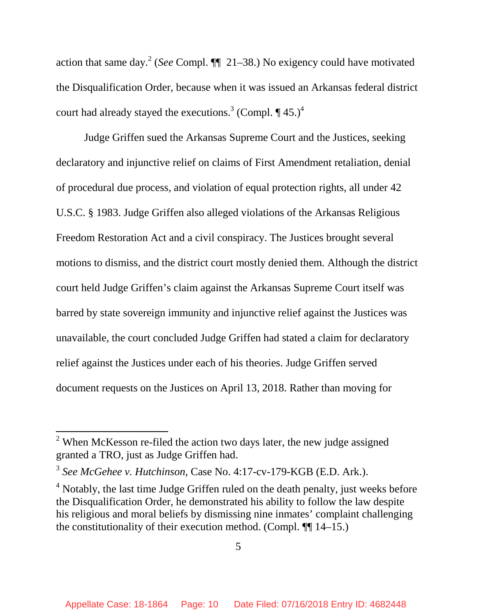action that same day.<sup>2</sup> (*See* Compl.  $\P\P$  21–38.) No exigency could have motivated the Disqualification Order, because when it was issued an Arkansas federal district court had already stayed the executions.<sup>3</sup> (Compl.  $\P$  45.)<sup>4</sup>

Judge Griffen sued the Arkansas Supreme Court and the Justices, seeking declaratory and injunctive relief on claims of First Amendment retaliation, denial of procedural due process, and violation of equal protection rights, all under 42 U.S.C. § 1983. Judge Griffen also alleged violations of the Arkansas Religious Freedom Restoration Act and a civil conspiracy. The Justices brought several motions to dismiss, and the district court mostly denied them. Although the district court held Judge Griffen's claim against the Arkansas Supreme Court itself was barred by state sovereign immunity and injunctive relief against the Justices was unavailable, the court concluded Judge Griffen had stated a claim for declaratory relief against the Justices under each of his theories. Judge Griffen served document requests on the Justices on April 13, 2018. Rather than moving for

<sup>&</sup>lt;sup>2</sup> When McKesson re-filed the action two days later, the new judge assigned granted a TRO, just as Judge Griffen had.

<sup>3</sup> *See McGehee v. Hutchinson*, Case No. 4:17-cv-179-KGB (E.D. Ark.).

<sup>&</sup>lt;sup>4</sup> Notably, the last time Judge Griffen ruled on the death penalty, just weeks before the Disqualification Order, he demonstrated his ability to follow the law despite his religious and moral beliefs by dismissing nine inmates' complaint challenging the constitutionality of their execution method. (Compl. ¶¶ 14–15.)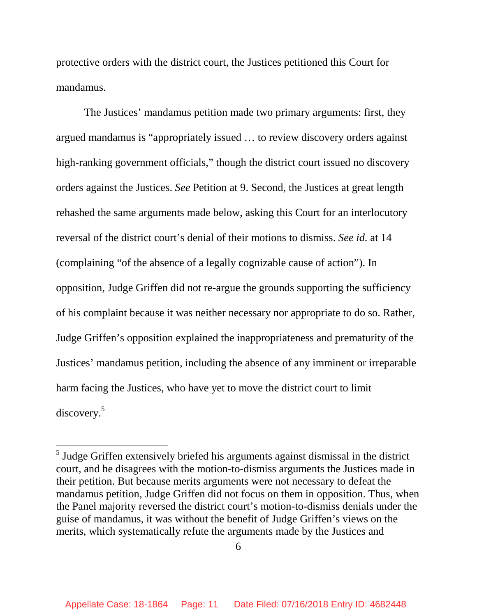protective orders with the district court, the Justices petitioned this Court for mandamus.

The Justices' mandamus petition made two primary arguments: first, they argued mandamus is "appropriately issued … to review discovery orders against high-ranking government officials," though the district court issued no discovery orders against the Justices. *See* Petition at 9. Second, the Justices at great length rehashed the same arguments made below, asking this Court for an interlocutory reversal of the district court's denial of their motions to dismiss. *See id.* at 14 (complaining "of the absence of a legally cognizable cause of action"). In opposition, Judge Griffen did not re-argue the grounds supporting the sufficiency of his complaint because it was neither necessary nor appropriate to do so. Rather, Judge Griffen's opposition explained the inappropriateness and prematurity of the Justices' mandamus petition, including the absence of any imminent or irreparable harm facing the Justices, who have yet to move the district court to limit discovery.<sup>5</sup>

 $<sup>5</sup>$  Judge Griffen extensively briefed his arguments against dismissal in the district</sup> court, and he disagrees with the motion-to-dismiss arguments the Justices made in their petition. But because merits arguments were not necessary to defeat the mandamus petition, Judge Griffen did not focus on them in opposition. Thus, when the Panel majority reversed the district court's motion-to-dismiss denials under the guise of mandamus, it was without the benefit of Judge Griffen's views on the merits, which systematically refute the arguments made by the Justices and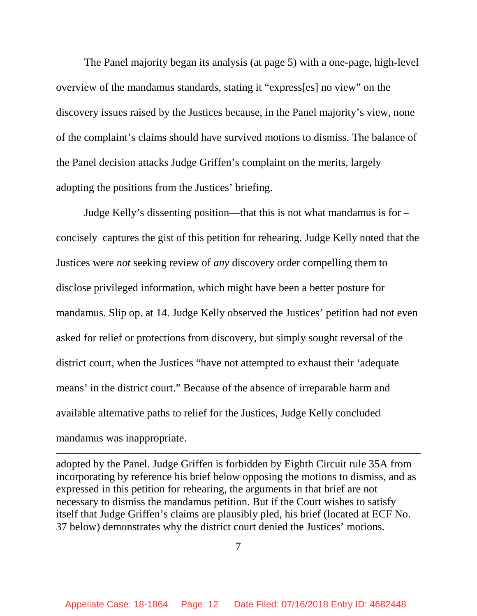The Panel majority began its analysis (at page 5) with a one-page, high-level overview of the mandamus standards, stating it "express[es] no view" on the discovery issues raised by the Justices because, in the Panel majority's view, none of the complaint's claims should have survived motions to dismiss. The balance of the Panel decision attacks Judge Griffen's complaint on the merits, largely adopting the positions from the Justices' briefing.

Judge Kelly's dissenting position—that this is not what mandamus is for – concisely captures the gist of this petition for rehearing. Judge Kelly noted that the Justices were *not* seeking review of *any* discovery order compelling them to disclose privileged information, which might have been a better posture for mandamus. Slip op. at 14. Judge Kelly observed the Justices' petition had not even asked for relief or protections from discovery, but simply sought reversal of the district court, when the Justices "have not attempted to exhaust their 'adequate means' in the district court." Because of the absence of irreparable harm and available alternative paths to relief for the Justices, Judge Kelly concluded mandamus was inappropriate.

adopted by the Panel. Judge Griffen is forbidden by Eighth Circuit rule 35A from incorporating by reference his brief below opposing the motions to dismiss, and as expressed in this petition for rehearing, the arguments in that brief are not necessary to dismiss the mandamus petition. But if the Court wishes to satisfy itself that Judge Griffen's claims are plausibly pled, his brief (located at ECF No. 37 below) demonstrates why the district court denied the Justices' motions.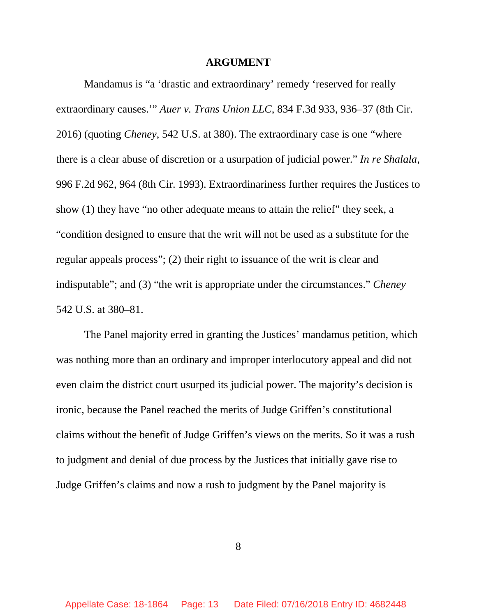#### **ARGUMENT**

Mandamus is "a 'drastic and extraordinary' remedy 'reserved for really extraordinary causes.'" *Auer v. Trans Union LLC*, 834 F.3d 933, 936–37 (8th Cir. 2016) (quoting *Cheney*, 542 U.S. at 380). The extraordinary case is one "where there is a clear abuse of discretion or a usurpation of judicial power." *In re Shalala*, 996 F.2d 962, 964 (8th Cir. 1993). Extraordinariness further requires the Justices to show (1) they have "no other adequate means to attain the relief" they seek, a "condition designed to ensure that the writ will not be used as a substitute for the regular appeals process"; (2) their right to issuance of the writ is clear and indisputable"; and (3) "the writ is appropriate under the circumstances." *Cheney*  542 U.S. at 380–81.

The Panel majority erred in granting the Justices' mandamus petition, which was nothing more than an ordinary and improper interlocutory appeal and did not even claim the district court usurped its judicial power. The majority's decision is ironic, because the Panel reached the merits of Judge Griffen's constitutional claims without the benefit of Judge Griffen's views on the merits. So it was a rush to judgment and denial of due process by the Justices that initially gave rise to Judge Griffen's claims and now a rush to judgment by the Panel majority is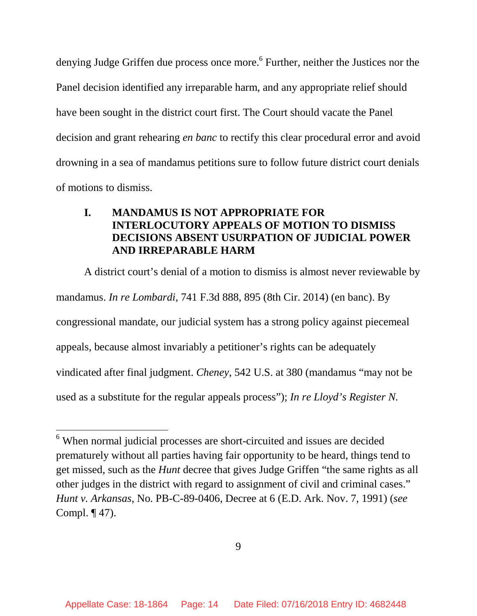denying Judge Griffen due process once more.<sup>6</sup> Further, neither the Justices nor the Panel decision identified any irreparable harm, and any appropriate relief should have been sought in the district court first. The Court should vacate the Panel decision and grant rehearing *en banc* to rectify this clear procedural error and avoid drowning in a sea of mandamus petitions sure to follow future district court denials of motions to dismiss.

# **I. MANDAMUS IS NOT APPROPRIATE FOR INTERLOCUTORY APPEALS OF MOTION TO DISMISS DECISIONS ABSENT USURPATION OF JUDICIAL POWER AND IRREPARABLE HARM**

A district court's denial of a motion to dismiss is almost never reviewable by mandamus. *In re Lombardi*, 741 F.3d 888, 895 (8th Cir. 2014) (en banc). By congressional mandate, our judicial system has a strong policy against piecemeal appeals, because almost invariably a petitioner's rights can be adequately vindicated after final judgment. *Cheney*, 542 U.S. at 380 (mandamus "may not be used as a substitute for the regular appeals process"); *In re Lloyd's Register N.* 

<sup>&</sup>lt;sup>6</sup> When normal judicial processes are short-circuited and issues are decided prematurely without all parties having fair opportunity to be heard, things tend to get missed, such as the *Hunt* decree that gives Judge Griffen "the same rights as all other judges in the district with regard to assignment of civil and criminal cases." *Hunt v. Arkansas*, No. PB-C-89-0406, Decree at 6 (E.D. Ark. Nov. 7, 1991) (*see* Compl. ¶ 47).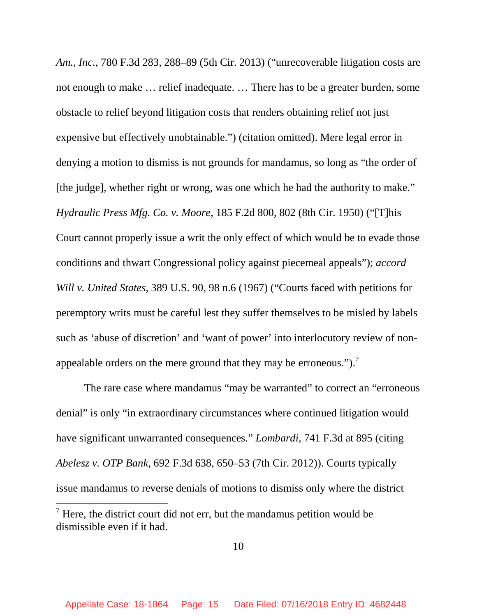*Am., Inc.*, 780 F.3d 283, 288–89 (5th Cir. 2013) ("unrecoverable litigation costs are not enough to make … relief inadequate. … There has to be a greater burden, some obstacle to relief beyond litigation costs that renders obtaining relief not just expensive but effectively unobtainable.") (citation omitted). Mere legal error in denying a motion to dismiss is not grounds for mandamus, so long as "the order of [the judge], whether right or wrong, was one which he had the authority to make." *Hydraulic Press Mfg. Co. v. Moore*, 185 F.2d 800, 802 (8th Cir. 1950) ("[T]his Court cannot properly issue a writ the only effect of which would be to evade those conditions and thwart Congressional policy against piecemeal appeals"); *accord Will v. United States*, 389 U.S. 90, 98 n.6 (1967) ("Courts faced with petitions for peremptory writs must be careful lest they suffer themselves to be misled by labels such as 'abuse of discretion' and 'want of power' into interlocutory review of nonappealable orders on the mere ground that they may be erroneous.").<sup>7</sup>

The rare case where mandamus "may be warranted" to correct an "erroneous denial" is only "in extraordinary circumstances where continued litigation would have significant unwarranted consequences." *Lombardi*, 741 F.3d at 895 (citing *Abelesz v. OTP Bank*, 692 F.3d 638, 650–53 (7th Cir. 2012)). Courts typically issue mandamus to reverse denials of motions to dismiss only where the district

 $<sup>7</sup>$  Here, the district court did not err, but the mandamus petition would be</sup> dismissible even if it had.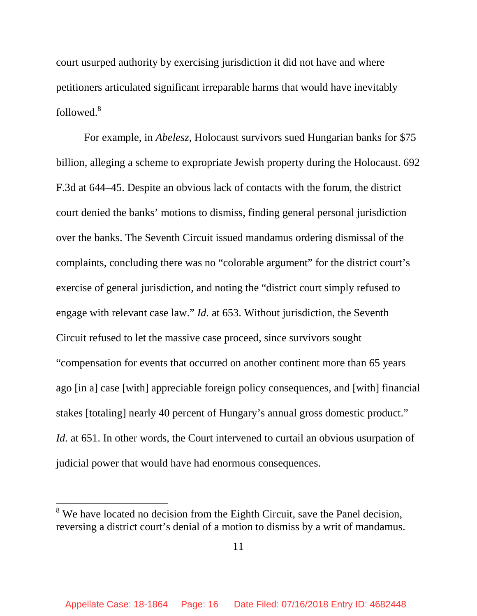court usurped authority by exercising jurisdiction it did not have and where petitioners articulated significant irreparable harms that would have inevitably followed.<sup>8</sup>

For example, in *Abelesz*, Holocaust survivors sued Hungarian banks for \$75 billion, alleging a scheme to expropriate Jewish property during the Holocaust. 692 F.3d at 644–45. Despite an obvious lack of contacts with the forum, the district court denied the banks' motions to dismiss, finding general personal jurisdiction over the banks. The Seventh Circuit issued mandamus ordering dismissal of the complaints, concluding there was no "colorable argument" for the district court's exercise of general jurisdiction, and noting the "district court simply refused to engage with relevant case law." *Id.* at 653. Without jurisdiction, the Seventh Circuit refused to let the massive case proceed, since survivors sought "compensation for events that occurred on another continent more than 65 years ago [in a] case [with] appreciable foreign policy consequences, and [with] financial stakes [totaling] nearly 40 percent of Hungary's annual gross domestic product." *Id.* at 651. In other words, the Court intervened to curtail an obvious usurpation of judicial power that would have had enormous consequences.

 $8$  We have located no decision from the Eighth Circuit, save the Panel decision, reversing a district court's denial of a motion to dismiss by a writ of mandamus.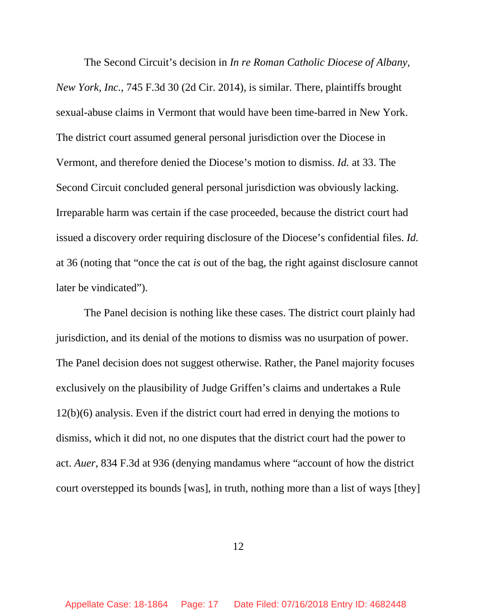The Second Circuit's decision in *In re Roman Catholic Diocese of Albany, New York, Inc.*, 745 F.3d 30 (2d Cir. 2014), is similar. There, plaintiffs brought sexual-abuse claims in Vermont that would have been time-barred in New York. The district court assumed general personal jurisdiction over the Diocese in Vermont, and therefore denied the Diocese's motion to dismiss. *Id.* at 33. The Second Circuit concluded general personal jurisdiction was obviously lacking. Irreparable harm was certain if the case proceeded, because the district court had issued a discovery order requiring disclosure of the Diocese's confidential files. *Id.*  at 36 (noting that "once the cat *is* out of the bag, the right against disclosure cannot later be vindicated").

The Panel decision is nothing like these cases. The district court plainly had jurisdiction, and its denial of the motions to dismiss was no usurpation of power. The Panel decision does not suggest otherwise. Rather, the Panel majority focuses exclusively on the plausibility of Judge Griffen's claims and undertakes a Rule 12(b)(6) analysis. Even if the district court had erred in denying the motions to dismiss, which it did not, no one disputes that the district court had the power to act. *Auer*, 834 F.3d at 936 (denying mandamus where "account of how the district court overstepped its bounds [was], in truth, nothing more than a list of ways [they]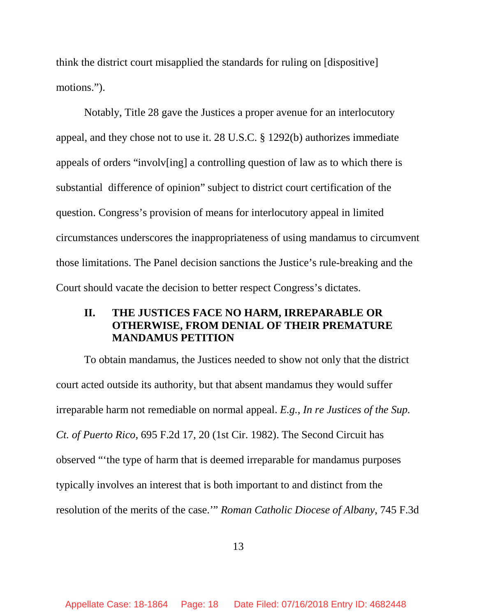think the district court misapplied the standards for ruling on [dispositive] motions.").

Notably, Title 28 gave the Justices a proper avenue for an interlocutory appeal, and they chose not to use it. 28 U.S.C. § 1292(b) authorizes immediate appeals of orders "involv[ing] a controlling question of law as to which there is substantial difference of opinion" subject to district court certification of the question. Congress's provision of means for interlocutory appeal in limited circumstances underscores the inappropriateness of using mandamus to circumvent those limitations. The Panel decision sanctions the Justice's rule-breaking and the Court should vacate the decision to better respect Congress's dictates.

## **II. THE JUSTICES FACE NO HARM, IRREPARABLE OR OTHERWISE, FROM DENIAL OF THEIR PREMATURE MANDAMUS PETITION**

To obtain mandamus, the Justices needed to show not only that the district court acted outside its authority, but that absent mandamus they would suffer irreparable harm not remediable on normal appeal. *E.g.*, *In re Justices of the Sup. Ct. of Puerto Rico*, 695 F.2d 17, 20 (1st Cir. 1982). The Second Circuit has observed "'the type of harm that is deemed irreparable for mandamus purposes typically involves an interest that is both important to and distinct from the resolution of the merits of the case.'" *Roman Catholic Diocese of Albany*, 745 F.3d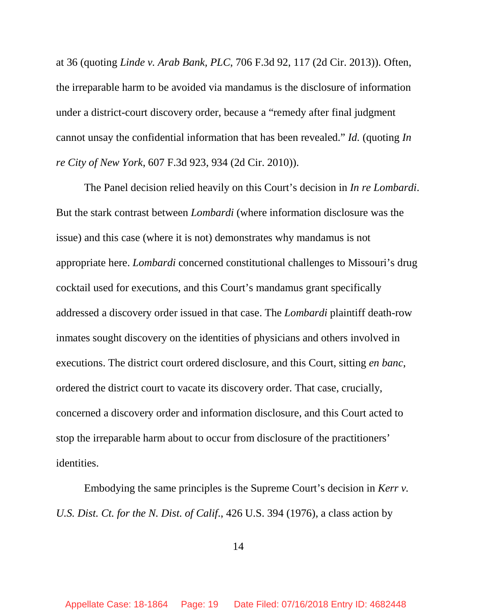at 36 (quoting *Linde v. Arab Bank, PLC*, 706 F.3d 92, 117 (2d Cir. 2013)). Often, the irreparable harm to be avoided via mandamus is the disclosure of information under a district-court discovery order, because a "remedy after final judgment cannot unsay the confidential information that has been revealed." *Id.* (quoting *In re City of New York*, 607 F.3d 923, 934 (2d Cir. 2010)).

The Panel decision relied heavily on this Court's decision in *In re Lombardi*. But the stark contrast between *Lombardi* (where information disclosure was the issue) and this case (where it is not) demonstrates why mandamus is not appropriate here. *Lombardi* concerned constitutional challenges to Missouri's drug cocktail used for executions, and this Court's mandamus grant specifically addressed a discovery order issued in that case. The *Lombardi* plaintiff death-row inmates sought discovery on the identities of physicians and others involved in executions. The district court ordered disclosure, and this Court, sitting *en banc*, ordered the district court to vacate its discovery order. That case, crucially, concerned a discovery order and information disclosure, and this Court acted to stop the irreparable harm about to occur from disclosure of the practitioners' identities.

Embodying the same principles is the Supreme Court's decision in *Kerr v. U.S. Dist. Ct. for the N. Dist. of Calif*., 426 U.S. 394 (1976), a class action by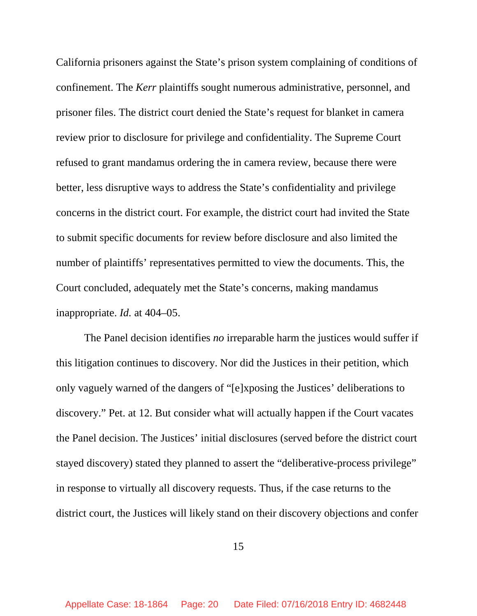California prisoners against the State's prison system complaining of conditions of confinement. The *Kerr* plaintiffs sought numerous administrative, personnel, and prisoner files. The district court denied the State's request for blanket in camera review prior to disclosure for privilege and confidentiality. The Supreme Court refused to grant mandamus ordering the in camera review, because there were better, less disruptive ways to address the State's confidentiality and privilege concerns in the district court. For example, the district court had invited the State to submit specific documents for review before disclosure and also limited the number of plaintiffs' representatives permitted to view the documents. This, the Court concluded, adequately met the State's concerns, making mandamus inappropriate. *Id.* at 404–05.

The Panel decision identifies *no* irreparable harm the justices would suffer if this litigation continues to discovery. Nor did the Justices in their petition, which only vaguely warned of the dangers of "[e]xposing the Justices' deliberations to discovery." Pet. at 12. But consider what will actually happen if the Court vacates the Panel decision. The Justices' initial disclosures (served before the district court stayed discovery) stated they planned to assert the "deliberative-process privilege" in response to virtually all discovery requests. Thus, if the case returns to the district court, the Justices will likely stand on their discovery objections and confer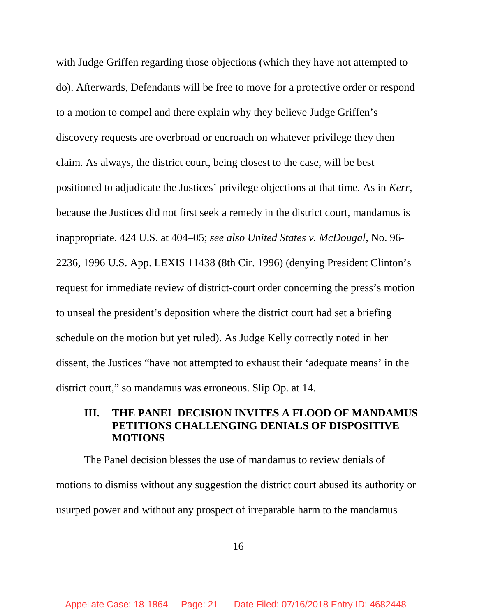with Judge Griffen regarding those objections (which they have not attempted to do). Afterwards, Defendants will be free to move for a protective order or respond to a motion to compel and there explain why they believe Judge Griffen's discovery requests are overbroad or encroach on whatever privilege they then claim. As always, the district court, being closest to the case, will be best positioned to adjudicate the Justices' privilege objections at that time. As in *Kerr*, because the Justices did not first seek a remedy in the district court, mandamus is inappropriate. 424 U.S. at 404–05; *see also United States v. McDougal*, No. 96- 2236, 1996 U.S. App. LEXIS 11438 (8th Cir. 1996) (denying President Clinton's request for immediate review of district-court order concerning the press's motion to unseal the president's deposition where the district court had set a briefing schedule on the motion but yet ruled). As Judge Kelly correctly noted in her dissent, the Justices "have not attempted to exhaust their 'adequate means' in the district court," so mandamus was erroneous. Slip Op. at 14.

## **III. THE PANEL DECISION INVITES A FLOOD OF MANDAMUS PETITIONS CHALLENGING DENIALS OF DISPOSITIVE MOTIONS**

The Panel decision blesses the use of mandamus to review denials of motions to dismiss without any suggestion the district court abused its authority or usurped power and without any prospect of irreparable harm to the mandamus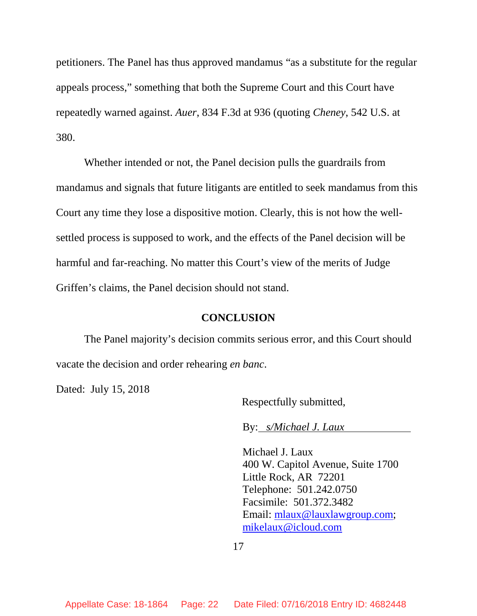petitioners. The Panel has thus approved mandamus "as a substitute for the regular appeals process," something that both the Supreme Court and this Court have repeatedly warned against. *Auer*, 834 F.3d at 936 (quoting *Cheney*, 542 U.S. at 380.

Whether intended or not, the Panel decision pulls the guardrails from mandamus and signals that future litigants are entitled to seek mandamus from this Court any time they lose a dispositive motion. Clearly, this is not how the wellsettled process is supposed to work, and the effects of the Panel decision will be harmful and far-reaching. No matter this Court's view of the merits of Judge Griffen's claims, the Panel decision should not stand.

#### **CONCLUSION**

The Panel majority's decision commits serious error, and this Court should vacate the decision and order rehearing *en banc*.

Dated: July 15, 2018

Respectfully submitted,

By: *s/Michael J. Laux* 

Michael J. Laux 400 W. Capitol Avenue, Suite 1700 Little Rock, AR 72201 Telephone: 501.242.0750 Facsimile: 501.372.3482 Email: mlaux@lauxlawgroup.com; mikelaux@icloud.com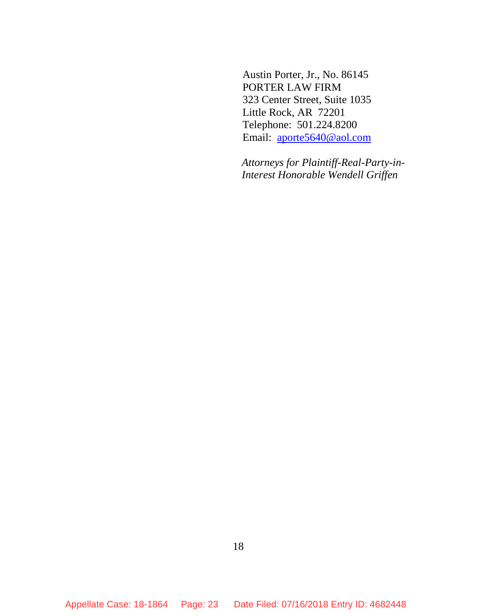Austin Porter, Jr., No. 86145 PORTER LAW FIRM 323 Center Street, Suite 1035 Little Rock, AR 72201 Telephone: 501.224.8200 Email: aporte5640@aol.com

*Attorneys for Plaintiff-Real-Party-in-Interest Honorable Wendell Griffen*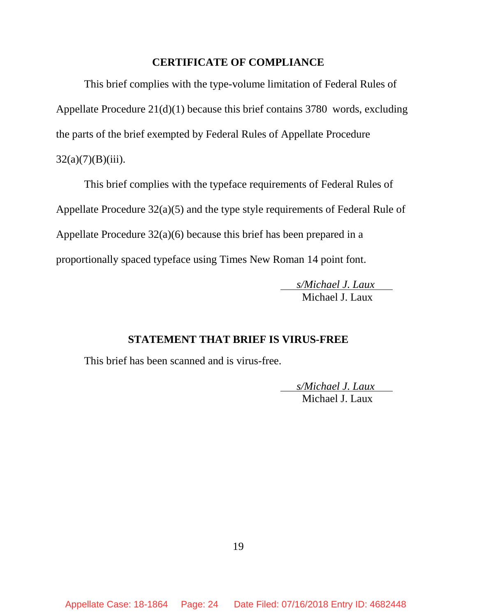#### **CERTIFICATE OF COMPLIANCE**

This brief complies with the type-volume limitation of Federal Rules of Appellate Procedure 21(d)(1) because this brief contains 3780 words, excluding the parts of the brief exempted by Federal Rules of Appellate Procedure  $32(a)(7)(B)(iii)$ .

This brief complies with the typeface requirements of Federal Rules of Appellate Procedure 32(a)(5) and the type style requirements of Federal Rule of Appellate Procedure 32(a)(6) because this brief has been prepared in a proportionally spaced typeface using Times New Roman 14 point font.

> *s/Michael J. Laux*  Michael L. Laux

### **STATEMENT THAT BRIEF IS VIRUS-FREE**

This brief has been scanned and is virus-free.

 *s/Michael J. Laux*  Michael J. Laux